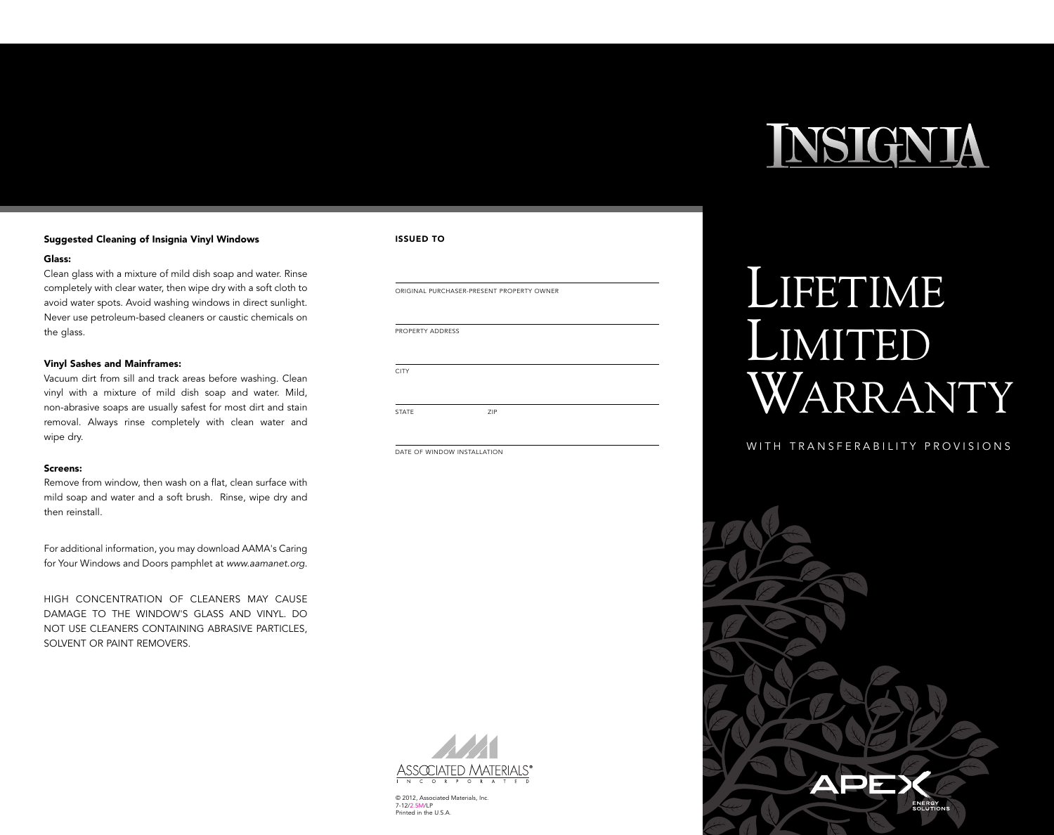# INSIGNIA

#### **Suggested Cleaning of Insignia Vinyl Windows**

#### **Glass:**

Clean glass with a mixture of mild dish soap and water. Rinse completely with clear water, then wipe dry with a soft cloth to avoid water spots. Avoid washing windows in direct sunlight. Never use petroleum-based cleaners or caustic chemicals on the glass.

#### **Vinyl Sashes and Mainframes:**

Vacuum dirt from sill and track areas before washing. Clean vinyl with a mixture of mild dish soap and water. Mild, non-abrasive soaps are usually safest for most dirt and stain removal. Always rinse completely with clean water and wipe dry.

#### **Screens:**

Remove from window, then wash on a flat, clean surface with mild soap and water and a soft brush. Rinse, wipe dry and then reinstall.

For additional information, you may download AAMA's Caring for Your Windows and Doors pamphlet at *www.aamanet.org.*

HIGH CONCENTRATION OF CLEANERS MAY CAUSE DAMAGE TO THE WINDOW'S GLASS AND VINYL. DO NOT USE CLEANERS CONTAINING ABRASIVE PARTICLES, SOLVENT OR PAINT REMOVERS.

#### **ISSUED TO**

ORIGINAL PURCHASER-PRESENT PROPERTY OWNER PROPERTY ADDRESS **CITY** STATE 7IP

DATE OF WINDOW INSTALLATION

## LIFETIME LIMITED WARRANTY

### WITH TRANSFERABILITY PROVISIONS





© 2012, Associated Materials, Inc. 7-12/2.5M/LP Printed in the U.S.A.